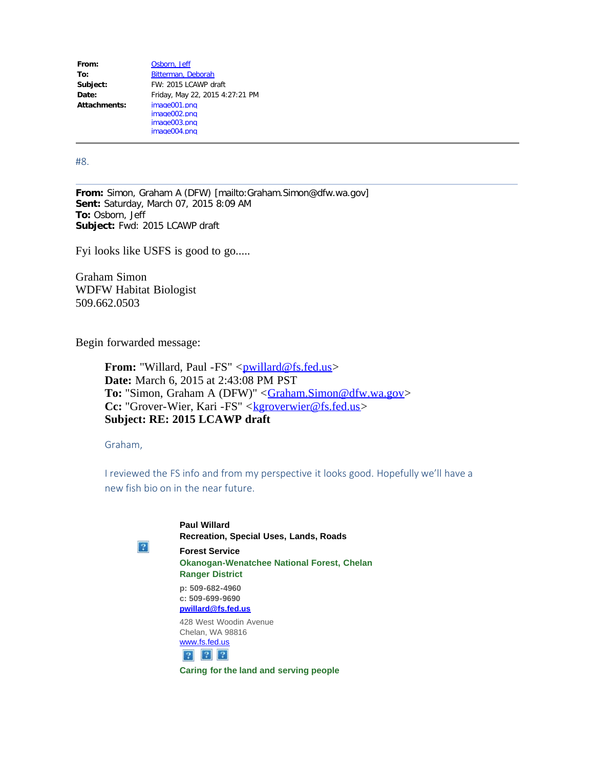| From:        | Osborn, Jeff                    |
|--------------|---------------------------------|
| To:          | Bitterman, Deborah              |
| Subject:     | FW: 2015 LCAWP draft            |
| Date:        | Friday, May 22, 2015 4:27:21 PM |
| Attachments: | image001.png                    |
|              | image002.png                    |
|              | image003.png                    |
|              | image004.png                    |

#8.

**From:** Simon, Graham A (DFW) [mailto:Graham.Simon@dfw.wa.gov] **Sent:** Saturday, March 07, 2015 8:09 AM **To:** Osborn, Jeff **Subject:** Fwd: 2015 LCAWP draft

Fyi looks like USFS is good to go.....

Graham Simon WDFW Habitat Biologist 509.662.0503

Begin forwarded message:

**From:** "Willard, Paul -FS" <[pwillard@fs.fed.us>](mailto:pwillard@fs.fed.us) **Date:** March 6, 2015 at 2:43:08 PM PST **To:** "Simon, Graham A (DFW)" < [Graham.Simon@dfw.wa.gov](mailto:Graham.Simon@dfw.wa.gov)> **Cc:** "Grover-Wier, Kari -FS" <[kgroverwier@fs.fed.us](mailto:kgroverwier@fs.fed.us)> **Subject: RE: 2015 LCAWP draft**

Graham,

I reviewed the FS info and from my perspective it looks good. Hopefully we'll have a new fish bio on in the near future.



**Paul Willard Recreation, Special Uses, Lands, Roads Forest Service Okanogan-Wenatchee National Forest, Chelan Ranger District p: 509-682-4960 c: 509-699-9690 [pwillard@fs.fed.us](mailto:pwillard@fs.fed.us)** 428 West Woodin Avenue

Chelan, WA 98816 [www.fs.fed.us](https://urldefense.proofpoint.com/v2/url?u=http-3A__www.fs.fed.us_&d=AwMF-g&c=UFACIOAgGpMNe7glHTyWnkdnGv-MOCky1SEhaWd2_pQ&r=3CSGBDOYrXtuina1hK5iEICtKVlHIlsPTWGLrOb2cD8&m=hrZz9xffFGpTG2fkz956rSqrwM6wjxErQ5NW5Wz-kuc&s=QwXEAhyfVhjplIXnOidQ_WbixCA_7eCrxnJ1EkuObfs&e=)  $\begin{array}{|c|c|c|}\hline ?& ?& \\\hline \end{array}$ 

**Caring for the land and serving people**